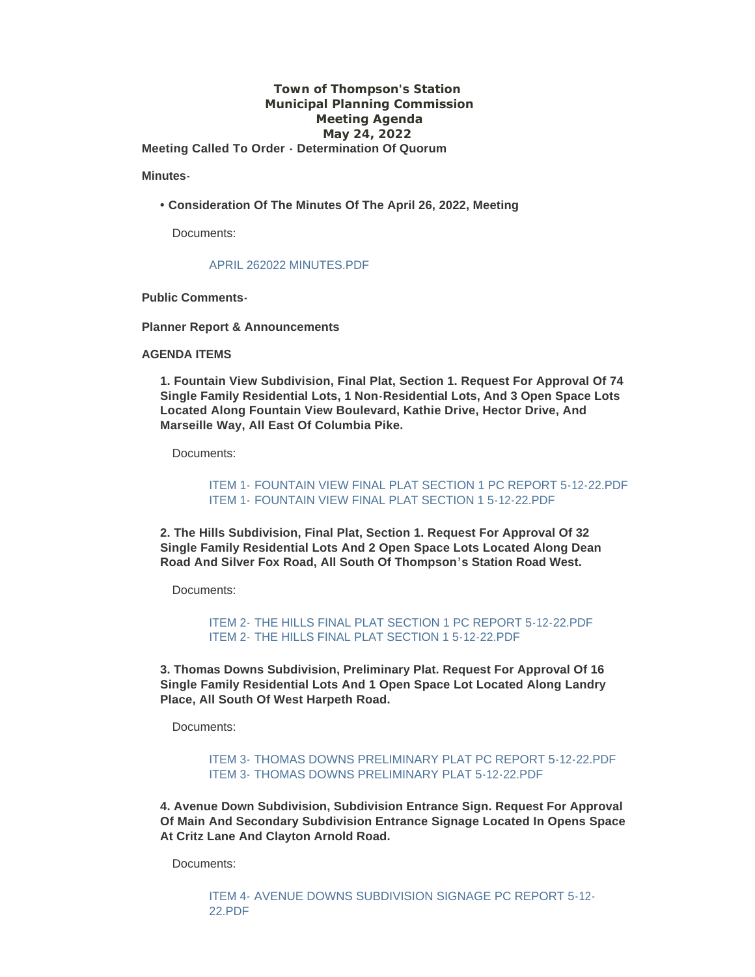## **Town of Thompson's Station Municipal Planning Commission Meeting Agenda May 24, 2022 Meeting Called To Order - Determination Of Quorum**

**Minutes-**

**• Consideration Of The Minutes Of The April 26, 2022, Meeting**

Documents:

#### [APRIL 262022 MINUTES.PDF](https://www.thompsons-station.com/AgendaCenter/ViewFile/Item/3824?fileID=16372)

**Public Comments-**

**Planner Report & Announcements**

### **AGENDA ITEMS**

**1. Fountain View Subdivision, Final Plat, Section 1. Request For Approval Of 74 Single Family Residential Lots, 1 Non-Residential Lots, And 3 Open Space Lots Located Along Fountain View Boulevard, Kathie Drive, Hector Drive, And Marseille Way, All East Of Columbia Pike.**

Documents:

ITEM 1- [FOUNTAIN VIEW FINAL PLAT SECTION 1 PC REPORT 5-12-22.PDF](https://www.thompsons-station.com/AgendaCenter/ViewFile/Item/3825?fileID=16373) ITEM 1- [FOUNTAIN VIEW FINAL PLAT SECTION 1 5-12-22.PDF](https://www.thompsons-station.com/AgendaCenter/ViewFile/Item/3825?fileID=16374)

**2. The Hills Subdivision, Final Plat, Section 1. Request For Approval Of 32 Single Family Residential Lots And 2 Open Space Lots Located Along Dean Road And Silver Fox Road, All South Of Thompson's Station Road West.**

Documents:

ITEM 2- [THE HILLS FINAL PLAT SECTION 1 PC REPORT 5-12-22.PDF](https://www.thompsons-station.com/AgendaCenter/ViewFile/Item/3826?fileID=16375) ITEM 2- [THE HILLS FINAL PLAT SECTION 1 5-12-22.PDF](https://www.thompsons-station.com/AgendaCenter/ViewFile/Item/3826?fileID=16376)

**3. Thomas Downs Subdivision, Preliminary Plat. Request For Approval Of 16 Single Family Residential Lots And 1 Open Space Lot Located Along Landry Place, All South Of West Harpeth Road.**

Documents:

[ITEM 3- THOMAS DOWNS PRELIMINARY PLAT PC REPORT 5-12-22.PDF](https://www.thompsons-station.com/AgendaCenter/ViewFile/Item/3827?fileID=16377) [ITEM 3- THOMAS DOWNS PRELIMINARY PLAT 5-12-22.PDF](https://www.thompsons-station.com/AgendaCenter/ViewFile/Item/3827?fileID=16378)

**4. Avenue Down Subdivision, Subdivision Entrance Sign. Request For Approval Of Main And Secondary Subdivision Entrance Signage Located In Opens Space At Critz Lane And Clayton Arnold Road.**

Documents:

[ITEM 4- AVENUE DOWNS SUBDIVISION SIGNAGE PC REPORT 5-12-](https://www.thompsons-station.com/AgendaCenter/ViewFile/Item/3828?fileID=16381) 22.PDF